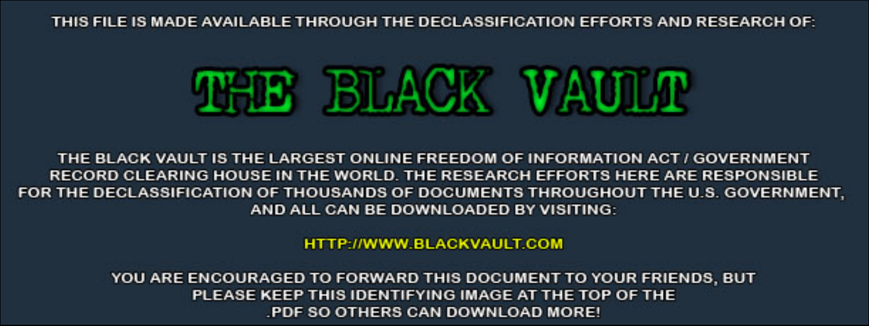THIS FILE IS MADE AVAILABLE THROUGH THE DECLASSIFICATION EFFORTS AND RESEARCH OF:



THE BLACK VAULT IS THE LARGEST ONLINE FREEDOM OF INFORMATION ACT / GOVERNMENT RECORD CLEARING HOUSE IN THE WORLD. THE RESEARCH EFFORTS HERE ARE RESPONSIBLE FOR THE DECLASSIFICATION OF THOUSANDS OF DOCUMENTS THROUGHOUT THE U.S. GOVERNMENT, AND ALL CAN BE DOWNLOADED BY VISITING:

**HTTP://WWW.BLACKVAULT.COM** 

YOU ARE ENCOURAGED TO FORWARD THIS DOCUMENT TO YOUR FRIENDS, BUT PLEASE KEEP THIS IDENTIFYING IMAGE AT THE TOP OF THE PDF SO OTHERS CAN DOWNLOAD MORE!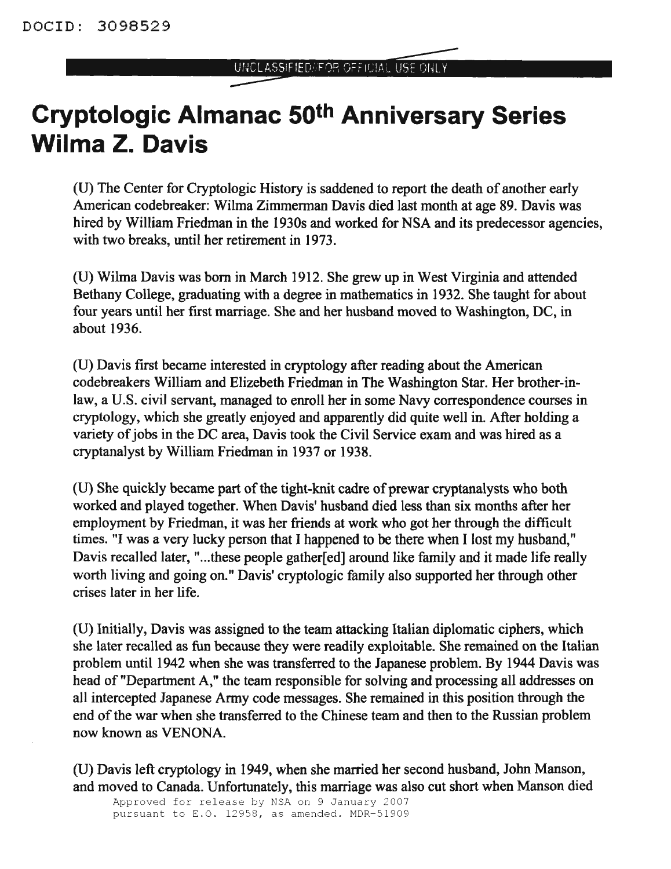## **Cryptologic Almanac 50th Anniversary Series Wilma Z. Davis**

(U) The Center for Cryptologic History is saddened to report the death of another early American codebreaker: Wilma Zimmerman Davis died last month at age 89. Davis was hired by William Friedman in the 1930s and worked for NSA and its predecessor agencies, with two breaks, until her retirement in 1973.

(U) Wilma Davis was born in March 1912. She grew up in West Virginia and attended Bethany College, graduating with a degree in mathematics in 1932. She taught for about four years until her first marriage. She and her husband moved to Washington, DC, in about 1936.

(U) Davis first became interested in cryptology after reading about the American codebreakers William and Elizebeth Friedman in The Washington Star. Her brother-inlaw, a U.S. civil servant, managed to enroll her in some Navy correspondence courses in cryptology, which she greatly enjoyed and apparently did quite well in. After holding a variety of jobs in the DC area, Davis took the Civil Service exam and was hired as a cryptanalyst by William Friedman in 1937 or 1938.

(U) She quickly became part of the tight-knit cadre of prewar cryptanalysts who both worked and played together. When Davis' husband died less than six months after her employment by Friedman, it was her friends at work who got her through the difficult times. "I was a very lucky person that I happened to be there when I lost my husband," Davis recalled later, "...these people gather[ed] around like family and it made life really worth living and going on." Davis' cryptologic family also supported her through other crises later in her life.

(U) Initially, Davis was assigned to the team attacking Italian diplomatic ciphers, which she later recalled as fun because they were readily exploitable. She remained on the Italian problem until 1942 when she was transferred to the Japanese problem. By 1944 Davis was head of "Department A," the team responsible for solving and processing all addresses on all intercepted Japanese Army code messages. She remained in this position through the end of the war when she transferred to the Chinese team and then to the Russian problem now known as VENONA.

(U) Davis left cryptology in 1949, when she married her second husband, John Manson, and moved to Canada. Unfortunately, this marriage was also cut short when Manson died

Approved for release by NSA on 9 January 2007 pursuant to E.O. 12958, as amended. MDR-51909